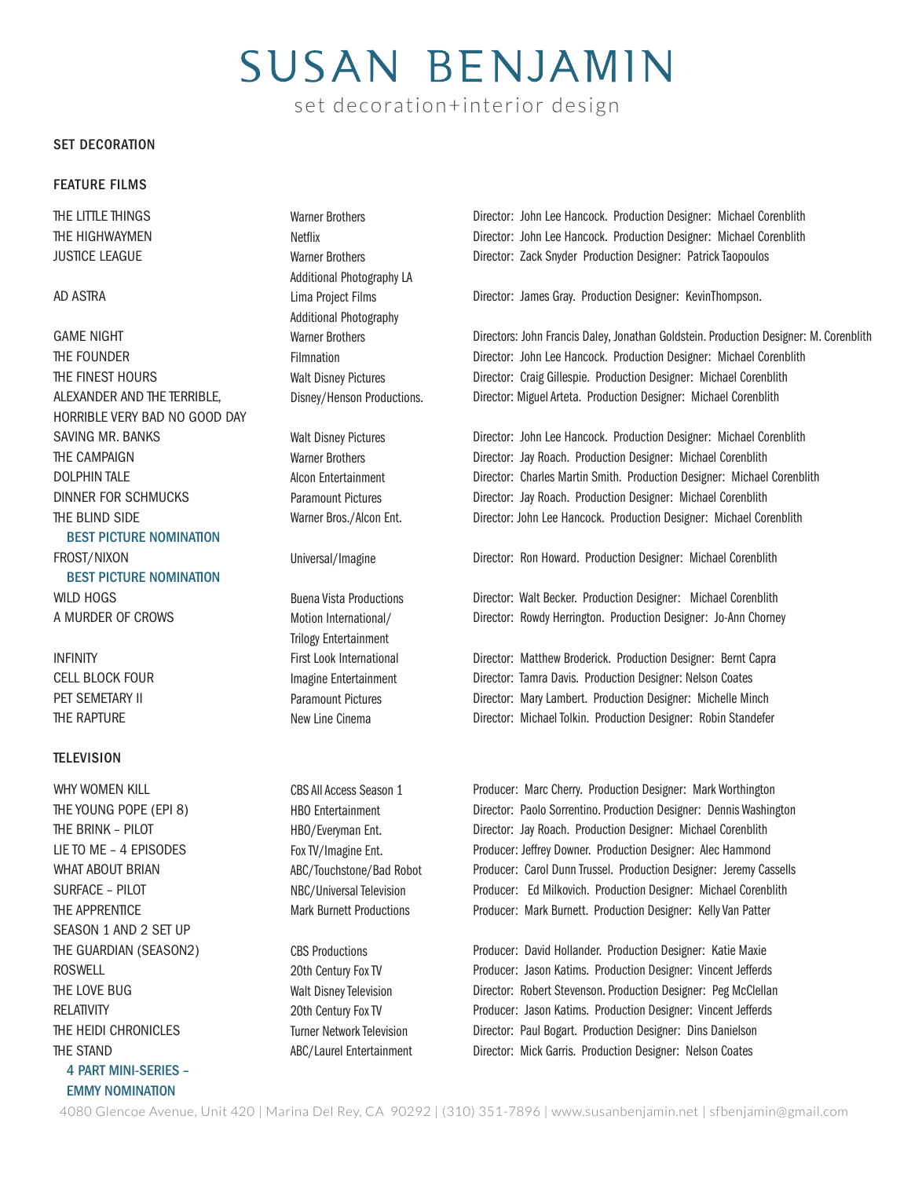# **SUSAN BENJAMIN**

set decoration+interior design

#### SET DECORATION

#### FEATURE FILMS

THE LITTLE THINGS THE HIGHWAYMEN JUSTICE LEAGUE

#### AD ASTRA

GAME NIGHT THE FOUNDER THE FINEST HOURS ALEXANDER AND THE TERRIBLE, HORRIBLE VERY BAD NO GOOD DAY SAVING MR. BANKS THE CAMPAIGN DOLPHIN TALE DINNER FOR SCHMUCKS THE BLIND SIDE BEST PICTURE NOMINATION FROST/NIXON

 BEST PICTURE NOMINATION WILD HOGS A MURDER OF CROWS

INFINITY CELL BLOCK FOUR PET SEMETARY II THE RAPTURE

#### **TELEVISION**

WHY WOMEN KILL THE YOUNG POPE (EPI 8) THE BRINK – PILOT LIE TO ME – 4 EPISODES WHAT ABOUT BRIAN SURFACE – PILOT THE APPRENTICE SEASON 1 AND 2 SET UP THE GUARDIAN (SEASON2) ROSWELL THE LOVE BUG RELATIVITY THE HEIDI CHRONICLES THE STAND 4 PART MINI-SERIES – EMMY NOMINATION

Netflix Warner Brothers Additional Photography LA Lima Project Films Additional Photography Warner Brothers Filmnation Walt Disney Pictures Disney/Henson Productions.

Warner Brothers

Walt Disney Pictures Warner Brothers Alcon Entertainment Paramount Pictures Warner Bros./Alcon Ent.

Universal/Imagine

Buena Vista Productions Motion International/ Trilogy Entertainment First Look International Imagine Entertainment Paramount Pictures New Line Cinema

CBS All Access Season 1 HBO Entertainment HBO/Everyman Ent. Fox TV/Imagine Ent. ABC/Touchstone/Bad Robot NBC/Universal Television Mark Burnett Productions

CBS Productions 20th Century Fox TV Walt Disney Television 20th Century Fox TV Turner Network Television ABC/Laurel Entertainment Director: John Lee Hancock. Production Designer: Michael Corenblith Director: John Lee Hancock. Production Designer: Michael Corenblith Director: Zack Snyder Production Designer: Patrick Taopoulos

Director: James Gray. Production Designer: KevinThompson.

Directors: John Francis Daley, Jonathan Goldstein. Production Designer: M. Corenblith Director: John Lee Hancock. Production Designer: Michael Corenblith Director: Craig Gillespie. Production Designer: Michael Corenblith Director: Miguel Arteta. Production Designer: Michael Corenblith

Director: John Lee Hancock. Production Designer: Michael Corenblith Director: Jay Roach. Production Designer: Michael Corenblith Director: Charles Martin Smith. Production Designer: Michael Corenblith Director: Jay Roach. Production Designer: Michael Corenblith Director: John Lee Hancock. Production Designer: Michael Corenblith

Director: Ron Howard. Production Designer: Michael Corenblith

Director: Walt Becker. Production Designer: Michael Corenblith Director: Rowdy Herrington. Production Designer: Jo-Ann Chorney

Director: Matthew Broderick. Production Designer: Bernt Capra Director: Tamra Davis. Production Designer: Nelson Coates Director: Mary Lambert. Production Designer: Michelle Minch Director: Michael Tolkin. Production Designer: Robin Standefer

Producer: Marc Cherry. Production Designer: Mark Worthington Director: Paolo Sorrentino. Production Designer: Dennis Washington Director: Jay Roach. Production Designer: Michael Corenblith Producer: Jeffrey Downer. Production Designer: Alec Hammond Producer: Carol Dunn Trussel. Production Designer: Jeremy Cassells Producer: Ed Milkovich. Production Designer: Michael Corenblith Producer: Mark Burnett. Production Designer: Kelly Van Patter

Producer: David Hollander. Production Designer: Katie Maxie Producer: Jason Katims. Production Designer: Vincent Jefferds Director: Robert Stevenson. Production Designer: Peg McClellan Producer: Jason Katims. Production Designer: Vincent Jefferds Director: Paul Bogart. Production Designer: Dins Danielson Director: Mick Garris. Production Designer: Nelson Coates

4080 Glencoe Avenue, Unit 420 | Marina Del Rey, CA 90292 | (310) 351-7896 | www.susanbenjamin.net | sfbenjamin@gmail.com